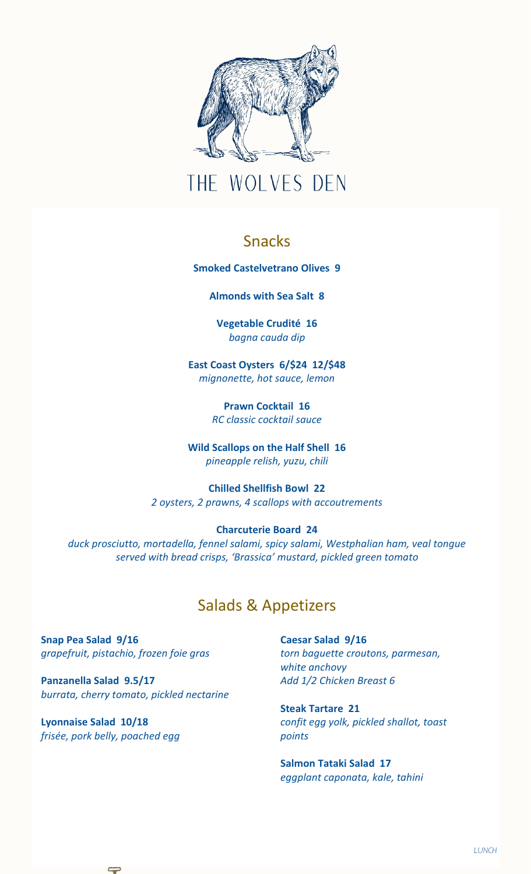

# THE WOLVES DEN

### Snacks

**Smoked Castelvetrano Olives 9**

**Almonds with Sea Salt 8**

**Vegetable Crudité 16** *bagna cauda dip* 

**East Coast Oysters 6/\$24 12/\$48** *mignonette, hot sauce, lemon*

> **Prawn Cocktail 16** *RC classic cocktail sauce*

**Wild Scallops on the Half Shell 16** *pineapple relish, yuzu, chili*

**Chilled Shellfish Bowl 22** *2 oysters, 2 prawns, 4 scallops with accoutrements*

#### **Charcuterie Board 24**

*duck prosciutto, mortadella, fennel salami, spicy salami, Westphalian ham, veal tongue served with bread crisps, 'Brassica' mustard, pickled green tomato*

# Salads & Appetizers

**Snap Pea Salad 9/16** *grapefruit, pistachio, frozen foie gras*

**Panzanella Salad 9.5/17** *burrata, cherry tomato, pickled nectarine*

**Lyonnaise Salad 10/18** *frisée, pork belly, poached egg* **Caesar Salad 9/16** *torn baguette croutons, parmesan, white anchovy Add 1/2 Chicken Breast 6*

**Steak Tartare 21** *confit egg yolk, pickled shallot, toast points*

**Salmon Tataki Salad 17** *eggplant caponata, kale, tahini*